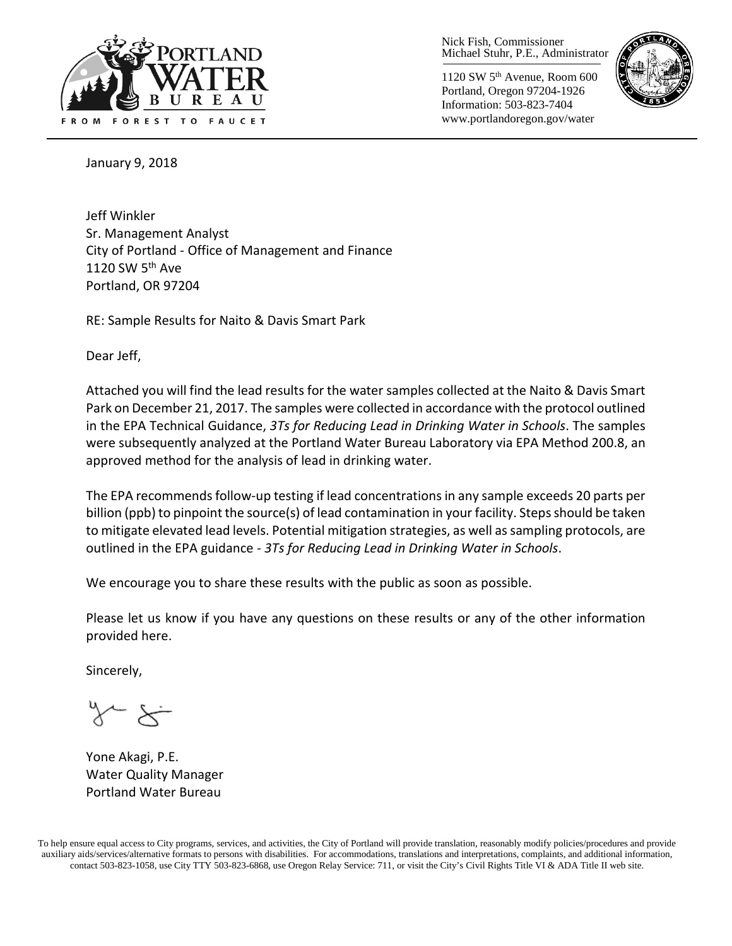

Nick Fish, Commissioner Michael Stuhr, P.E., Administrator

1120 SW 5th Avenue, Room 600 Portland, Oregon 97204-1926 Information: 503-823-7404 www.portlandoregon.gov/water



January 9, 2018

Jeff Winkler Sr. Management Analyst City of Portland - Office of Management and Finance 1120 SW 5<sup>th</sup> Ave Portland, OR 97204

RE: Sample Results for Naito & Davis Smart Park

Dear Jeff,

Attached you will find the lead results for the water samples collected at the Naito & Davis Smart Park on December 21, 2017. The samples were collected in accordance with the protocol outlined in the EPA Technical Guidance, *3Ts for Reducing Lead in Drinking Water in Schools*. The samples were subsequently analyzed at the Portland Water Bureau Laboratory via EPA Method 200.8, an approved method for the analysis of lead in drinking water.

The EPA recommends follow-up testing if lead concentrations in any sample exceeds 20 parts per billion (ppb) to pinpoint the source(s) of lead contamination in your facility. Steps should be taken to mitigate elevated lead levels. Potential mitigation strategies, as well as sampling protocols, are outlined in the EPA guidance - *3Ts for Reducing Lead in Drinking Water in Schools*.

We encourage you to share these results with the public as soon as possible.

Please let us know if you have any questions on these results or any of the other information provided here.

Sincerely,

Yone Akagi, P.E. Water Quality Manager Portland Water Bureau

To help ensure equal access to City programs, services, and activities, the City of Portland will provide translation, reasonably modify policies/procedures and provide auxiliary aids/services/alternative formats to persons with disabilities. For accommodations, translations and interpretations, complaints, and additional information, contact 503-823-1058, use City TTY 503-823-6868, use Oregon Relay Service: 711, or visi[t the City's Civil Rights Title VI & ADA Title II web site.](http://www.portlandoregon.gov/oehr/66458)